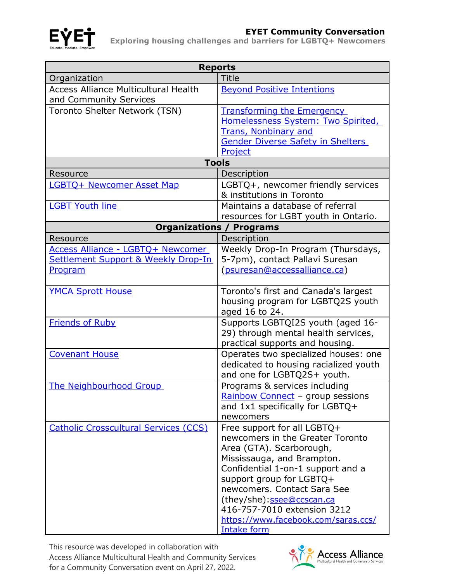

## **EVE÷** EYET Community Conversation

**EXPLOREGY EXPLORING MOUSING CHALLENGES AND BATE AT A EXPLORING MOUSING CHALLENGES AND FUNCION CONTROLLY EXPLORING** 

| <b>Reports</b>                               |                                                                 |
|----------------------------------------------|-----------------------------------------------------------------|
| Organization                                 | <b>Title</b>                                                    |
| <b>Access Alliance Multicultural Health</b>  | <b>Beyond Positive Intentions</b>                               |
| and Community Services                       |                                                                 |
| Toronto Shelter Network (TSN)                | <b>Transforming the Emergency</b>                               |
|                                              | Homelessness System: Two Spirited,                              |
|                                              | <b>Trans, Nonbinary and</b>                                     |
|                                              | <b>Gender Diverse Safety in Shelters</b>                        |
|                                              | Project                                                         |
| <b>Tools</b>                                 |                                                                 |
| Resource                                     | Description                                                     |
| <b>LGBTQ+ Newcomer Asset Map</b>             | LGBTQ+, newcomer friendly services                              |
|                                              | & institutions in Toronto                                       |
| <b>LGBT Youth line</b>                       | Maintains a database of referral                                |
|                                              | resources for LGBT youth in Ontario.                            |
| <b>Organizations / Programs</b>              |                                                                 |
| Resource                                     | Description                                                     |
| Access Alliance - LGBTQ+ Newcomer            | Weekly Drop-In Program (Thursdays,                              |
| Settlement Support & Weekly Drop-In          | 5-7pm), contact Pallavi Suresan                                 |
| <b>Program</b>                               | (psuresan@accessalliance.ca)                                    |
| <b>YMCA Sprott House</b>                     | Toronto's first and Canada's largest                            |
|                                              | housing program for LGBTQ2S youth                               |
|                                              | aged 16 to 24.                                                  |
| <b>Friends of Ruby</b>                       | Supports LGBTQI2S youth (aged 16-                               |
|                                              | 29) through mental health services,                             |
|                                              | practical supports and housing.                                 |
| <b>Covenant House</b>                        | Operates two specialized houses: one                            |
|                                              | dedicated to housing racialized youth                           |
|                                              | and one for LGBTQ2S+ youth.                                     |
| The Neighbourhood Group                      | Programs & services including                                   |
|                                              | Rainbow Connect - group sessions                                |
|                                              | and 1x1 specifically for LGBTQ+                                 |
|                                              | newcomers                                                       |
| <b>Catholic Crosscultural Services (CCS)</b> | Free support for all LGBTQ+<br>newcomers in the Greater Toronto |
|                                              | Area (GTA). Scarborough,                                        |
|                                              | Mississauga, and Brampton.                                      |
|                                              | Confidential 1-on-1 support and a                               |
|                                              | support group for LGBTQ+                                        |
|                                              | newcomers. Contact Sara See                                     |
|                                              | (they/she): ssee@ccscan.ca                                      |
|                                              | 416-757-7010 extension 3212                                     |
|                                              | https://www.facebook.com/saras.ccs/                             |
|                                              | <b>Intake form</b>                                              |